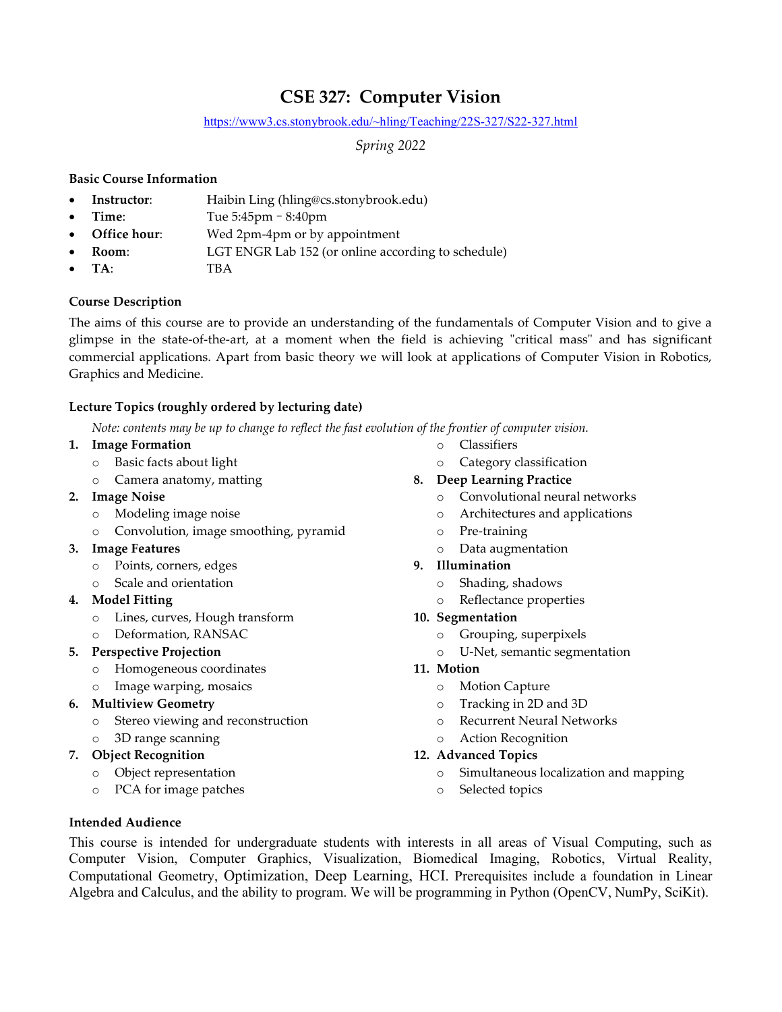# CSE 327: Computer Vision

#### https://www3.cs.stonybrook.edu/~hling/Teaching/22S-327/S22-327.html

Spring 2022

## Basic Course Information

- Instructor: Haibin Ling (hling@cs.stonybrook.edu)
- Time: Tue 5:45pm 8:40pm
- Office hour: Wed 2pm-4pm or by appointment
- Room: LGT ENGR Lab 152 (or online according to schedule)
- TA: TBA

## Course Description

The aims of this course are to provide an understanding of the fundamentals of Computer Vision and to give a glimpse in the state-of-the-art, at a moment when the field is achieving "critical mass" and has significant commercial applications. Apart from basic theory we will look at applications of Computer Vision in Robotics, Graphics and Medicine.

# Lecture Topics (roughly ordered by lecturing date)

Note: contents may be up to change to reflect the fast evolution of the frontier of computer vision.

- 1. Image Formation
	- o Basic facts about light
	- o Camera anatomy, matting
- 2. Image Noise
	- o Modeling image noise
	- o Convolution, image smoothing, pyramid
- 3. Image Features
	- o Points, corners, edges
	- o Scale and orientation
- 4. Model Fitting
	- o Lines, curves, Hough transform
	- o Deformation, RANSAC
- 5. Perspective Projection
	- o Homogeneous coordinates
	- o Image warping, mosaics
- 6. Multiview Geometry
	- o Stereo viewing and reconstruction
	- o 3D range scanning
- 7. Object Recognition
	- o Object representation
	- o PCA for image patches
- o Classifiers
- o Category classification

# 8. Deep Learning Practice

- o Convolutional neural networks
- o Architectures and applications
- o Pre-training
- o Data augmentation
- 9. Illumination
	- o Shading, shadows
	- o Reflectance properties
- 10. Segmentation
	- o Grouping, superpixels
	- o U-Net, semantic segmentation

## 11. Motion

- o Motion Capture
- o Tracking in 2D and 3D
- o Recurrent Neural Networks
- o Action Recognition

## 12. Advanced Topics

- o Simultaneous localization and mapping
- o Selected topics

#### Intended Audience

This course is intended for undergraduate students with interests in all areas of Visual Computing, such as Computer Vision, Computer Graphics, Visualization, Biomedical Imaging, Robotics, Virtual Reality, Computational Geometry, Optimization, Deep Learning, HCI. Prerequisites include a foundation in Linear Algebra and Calculus, and the ability to program. We will be programming in Python (OpenCV, NumPy, SciKit).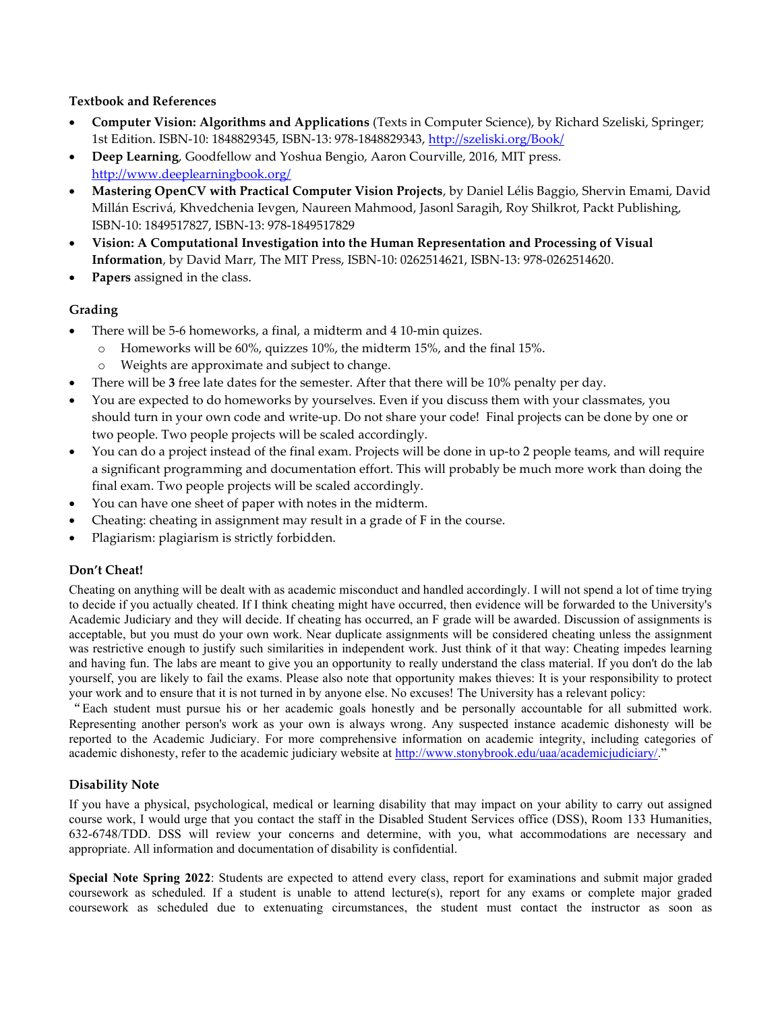#### Textbook and References

- Computer Vision: Algorithms and Applications (Texts in Computer Science), by Richard Szeliski, Springer; 1st Edition. ISBN-10: 1848829345, ISBN-13: 978-1848829343, http://szeliski.org/Book/
- Deep Learning, Goodfellow and Yoshua Bengio, Aaron Courville, 2016, MIT press. http://www.deeplearningbook.org/
- Mastering OpenCV with Practical Computer Vision Projects, by Daniel Lélis Baggio, Shervin Emami, David Millán Escrivá, Khvedchenia Ievgen, Naureen Mahmood, Jasonl Saragih, Roy Shilkrot, Packt Publishing, ISBN-10: 1849517827, ISBN-13: 978-1849517829
- Vision: A Computational Investigation into the Human Representation and Processing of Visual Information, by David Marr, The MIT Press, ISBN-10: 0262514621, ISBN-13: 978-0262514620.
- Papers assigned in the class.

## Grading

- There will be 5-6 homeworks, a final, a midterm and 4 10-min quizes.
	- o Homeworks will be 60%, quizzes 10%, the midterm 15%, and the final 15%.
	- o Weights are approximate and subject to change.
- There will be 3 free late dates for the semester. After that there will be 10% penalty per day.
- You are expected to do homeworks by yourselves. Even if you discuss them with your classmates, you should turn in your own code and write-up. Do not share your code! Final projects can be done by one or two people. Two people projects will be scaled accordingly.
- You can do a project instead of the final exam. Projects will be done in up-to 2 people teams, and will require a significant programming and documentation effort. This will probably be much more work than doing the final exam. Two people projects will be scaled accordingly.
- You can have one sheet of paper with notes in the midterm.
- Cheating: cheating in assignment may result in a grade of F in the course.
- Plagiarism: plagiarism is strictly forbidden.

## Don't Cheat!

Cheating on anything will be dealt with as academic misconduct and handled accordingly. I will not spend a lot of time trying to decide if you actually cheated. If I think cheating might have occurred, then evidence will be forwarded to the University's Academic Judiciary and they will decide. If cheating has occurred, an F grade will be awarded. Discussion of assignments is acceptable, but you must do your own work. Near duplicate assignments will be considered cheating unless the assignment was restrictive enough to justify such similarities in independent work. Just think of it that way: Cheating impedes learning and having fun. The labs are meant to give you an opportunity to really understand the class material. If you don't do the lab yourself, you are likely to fail the exams. Please also note that opportunity makes thieves: It is your responsibility to protect your work and to ensure that it is not turned in by anyone else. No excuses! The University has a relevant policy:

"Each student must pursue his or her academic goals honestly and be personally accountable for all submitted work. Representing another person's work as your own is always wrong. Any suspected instance academic dishonesty will be reported to the Academic Judiciary. For more comprehensive information on academic integrity, including categories of academic dishonesty, refer to the academic judiciary website at http://www.stonybrook.edu/uaa/academicjudiciary/."

#### Disability Note

If you have a physical, psychological, medical or learning disability that may impact on your ability to carry out assigned course work, I would urge that you contact the staff in the Disabled Student Services office (DSS), Room 133 Humanities, 632-6748/TDD. DSS will review your concerns and determine, with you, what accommodations are necessary and appropriate. All information and documentation of disability is confidential.

Special Note Spring 2022: Students are expected to attend every class, report for examinations and submit major graded coursework as scheduled. If a student is unable to attend lecture(s), report for any exams or complete major graded coursework as scheduled due to extenuating circumstances, the student must contact the instructor as soon as